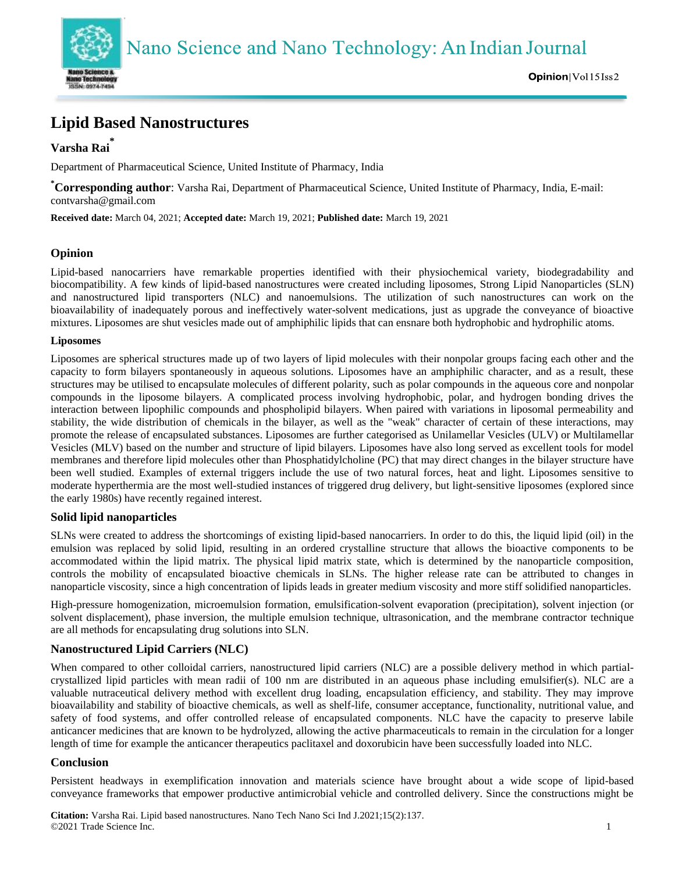



# **Lipid Based Nanostructures**

# **Varsha Rai\***

Department of Pharmaceutical Science, United Institute of Pharmacy, India

**\*Corresponding author**: Varsha Rai, Department of Pharmaceutical Science, United Institute of Pharmacy, India, E-mail: contvarsha@gmail.com

**Received date:** March 04, 2021; **Accepted date:** March 19, 2021; **Published date:** March 19, 2021

# **Opinion**

Lipid-based nanocarriers have remarkable properties identified with their physiochemical variety, biodegradability and biocompatibility. A few kinds of lipid-based nanostructures were created including liposomes, Strong Lipid Nanoparticles (SLN) and nanostructured lipid transporters (NLC) and nanoemulsions. The utilization of such nanostructures can work on the bioavailability of inadequately porous and ineffectively water-solvent medications, just as upgrade the conveyance of bioactive mixtures. Liposomes are shut vesicles made out of amphiphilic lipids that can ensnare both hydrophobic and hydrophilic atoms.

#### **Liposomes**

Liposomes are spherical structures made up of two layers of lipid molecules with their nonpolar groups facing each other and the capacity to form bilayers spontaneously in aqueous solutions. Liposomes have an amphiphilic character, and as a result, these structures may be utilised to encapsulate molecules of different polarity, such as polar compounds in the aqueous core and nonpolar compounds in the liposome bilayers. A complicated process involving hydrophobic, polar, and hydrogen bonding drives the interaction between lipophilic compounds and phospholipid bilayers. When paired with variations in liposomal permeability and stability, the wide distribution of chemicals in the bilayer, as well as the "weak" character of certain of these interactions, may promote the release of encapsulated substances. Liposomes are further categorised as Unilamellar Vesicles (ULV) or Multilamellar Vesicles (MLV) based on the number and structure of lipid bilayers. Liposomes have also long served as excellent tools for model membranes and therefore lipid molecules other than Phosphatidylcholine (PC) that may direct changes in the bilayer structure have been well studied. Examples of external triggers include the use of two natural forces, heat and light. Liposomes sensitive to moderate hyperthermia are the most well-studied instances of triggered drug delivery, but light-sensitive liposomes (explored since the early 1980s) have recently regained interest.

# **Solid lipid nanoparticles**

SLNs were created to address the shortcomings of existing lipid-based nanocarriers. In order to do this, the liquid lipid (oil) in the emulsion was replaced by solid lipid, resulting in an ordered crystalline structure that allows the bioactive components to be accommodated within the lipid matrix. The physical lipid matrix state, which is determined by the nanoparticle composition, controls the mobility of encapsulated bioactive chemicals in SLNs. The higher release rate can be attributed to changes in nanoparticle viscosity, since a high concentration of lipids leads in greater medium viscosity and more stiff solidified nanoparticles.

High-pressure homogenization, microemulsion formation, emulsification-solvent evaporation (precipitation), solvent injection (or solvent displacement), phase inversion, the multiple emulsion technique, ultrasonication, and the membrane contractor technique are all methods for encapsulating drug solutions into SLN.

# **Nanostructured Lipid Carriers (NLC)**

When compared to other colloidal carriers, nanostructured lipid carriers (NLC) are a possible delivery method in which partialcrystallized lipid particles with mean radii of 100 nm are distributed in an aqueous phase including emulsifier(s). NLC are a valuable nutraceutical delivery method with excellent drug loading, encapsulation efficiency, and stability. They may improve bioavailability and stability of bioactive chemicals, as well as shelf-life, consumer acceptance, functionality, nutritional value, and safety of food systems, and offer controlled release of encapsulated components. NLC have the capacity to preserve labile anticancer medicines that are known to be hydrolyzed, allowing the active pharmaceuticals to remain in the circulation for a longer length of time for example the anticancer therapeutics paclitaxel and doxorubicin have been successfully loaded into NLC.

# **Conclusion**

Persistent headways in exemplification innovation and materials science have brought about a wide scope of lipid-based conveyance frameworks that empower productive antimicrobial vehicle and controlled delivery. Since the constructions might be

**Citation:** Varsha Rai. Lipid based nanostructures. Nano Tech Nano Sci Ind J.2021;15(2):137. ©2021 Trade Science Inc. 1